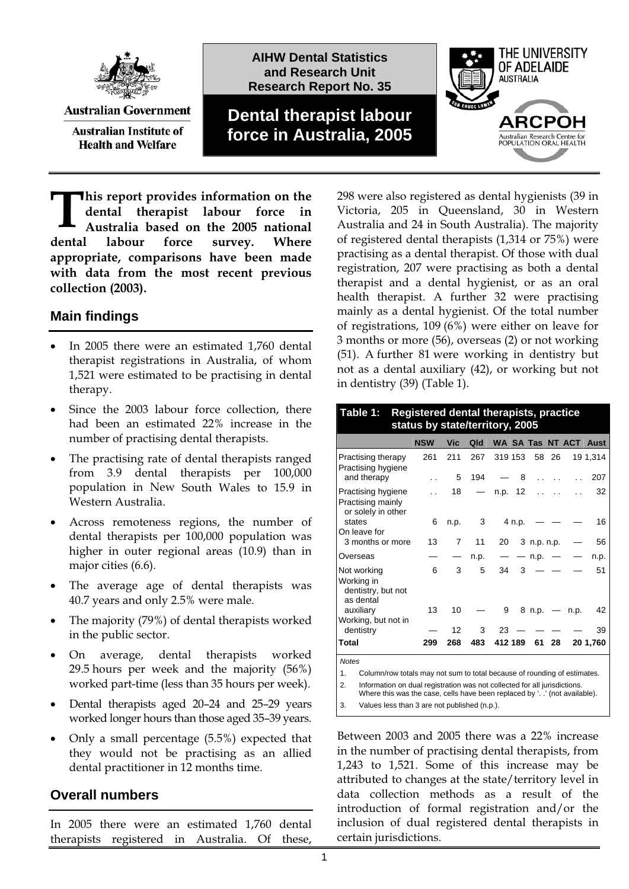

**Australian Government Australian Institute of** 

**Health and Welfare** 

**AIHW Dental Statistics and Research Unit Research Report No. 35**

# **Dental therapist labour force in Australia, 2005**



**his report provides information on the dental therapist labour force in Australia based on the 2005 national dental labour force survey. Where appropriate, comparisons have been made with data from the most recent previous collection (2003).**   $\prod_{\alpha}$ 

## **Main findings**

- $\bullet$  In 2005 there were an estimated 1,760 dental therapist registrations in Australia, of whom 1,521 were estimated to be practising in dental therapy.
- had been an estimated 22% increase in the  $\bullet$  Since the 2003 labour force collection, there number of practising dental therapists.
- population in New South Wales to 15.9 in  $\bullet$  The practising rate of dental therapists ranged from 3.9 dental therapists per 100,000 Western Australia.
- higher in outer regional areas (10.9) than in  $\bullet$  Across remoteness regions, the number of dental therapists per 100,000 population was major cities (6.6).
- $\bullet$  The average age of dental therapists was  $\bullet$ 40.7 years and only 2.5% were male.
- The majority  $(79%)$  of dental therapists worked  $\bullet$ in the public sector.
- $\bullet$  On average, dental therapists worked 29.5 hours per week and the majority (56%) worked part-time (less than 35 hours per week).
- $\bullet$  Dental therapists aged 20–24 and 25–29 years worked longer hours than those aged 35–39 years.
- they would not be practising as an allied dental practitioner in 12 months time.  $\bullet$ Only a small percentage (5.5%) expected that

## **Overall numbers**

In 2005 there were an estimated 1,760 dental therapists registered in Australia. Of these,

298 were also registered as dental hygienists (39 in Victoria, 205 in Queensland, 30 in Western Australia and 24 in South Australia). The majority of registered dental therapists (1,314 or 75%) were practising as a dental therapist. Of those with dual registration, 207 were practising as both a dental therapist and a dental hygienist, or as an oral health therapist. A further 32 were practising mainly as a dental hygienist. Of the total number of registrations, 109 (6%) were either on leave for 3 months or more (56), overseas (2) or not working (51). A further 81 were working in dentistry but not as a dental auxiliary (4 2), or working but not in dentistry (39) (Table 1).

| Registered dental therapists, practice<br>Table 1:<br>status by state/territory, 2005          |                      |                |      |    |                 |                      |                          |      |                       |  |  |
|------------------------------------------------------------------------------------------------|----------------------|----------------|------|----|-----------------|----------------------|--------------------------|------|-----------------------|--|--|
|                                                                                                | <b>NSW</b>           | Vic            | Qld  |    |                 |                      |                          |      | WA SA Tas NT ACT Aust |  |  |
| Practising therapy<br>Practising hygiene                                                       | 261                  | 211            | 267  |    | 319 153         |                      | 58 26                    |      | 19 1,314              |  |  |
| and therapy                                                                                    | $\ddot{\phantom{0}}$ | 5              | 194  |    | 8               | $\ddot{\phantom{0}}$ |                          |      | 207                   |  |  |
| Practising hygiene<br>Practising mainly<br>or solely in other                                  | $\ddot{\phantom{0}}$ | 18             |      |    | n.p. 12         | $\ddotsc$            |                          |      | 32                    |  |  |
| states<br>On leave for                                                                         | 6                    | n.p.           | 3    |    | 4 n.p.          |                      |                          |      | 16                    |  |  |
| 3 months or more                                                                               | 13                   | $\overline{7}$ | 11   | 20 |                 | 3 n.p. n.p.          |                          |      | 56                    |  |  |
| Overseas                                                                                       |                      |                | n.p. |    | $\qquad \qquad$ | n.p.                 | $\overline{\phantom{m}}$ |      | n.p.                  |  |  |
| Not working<br>Working in<br>dentistry, but not<br>as dental                                   | 6                    | 3              | 5    | 34 | 3               |                      |                          |      | 51                    |  |  |
| auxiliary<br>Working, but not in                                                               | 13                   | 10             |      | 9  |                 | 8 n.p. $-$           |                          | n.p. | 42                    |  |  |
| dentistry                                                                                      |                      | 12             | 3    | 23 |                 |                      |                          |      | 39                    |  |  |
| Total                                                                                          | 299                  | 268            | 483  |    | 412 189         | 61                   | 28                       |      | 20 1.760              |  |  |
| <b>Notes</b><br>Column/row totals may not sum to total because of rounding of estimates.<br>1. |                      |                |      |    |                 |                      |                          |      |                       |  |  |

2. Information on dual registration was not collected for all jurisdictions. Where this was the case, cells have been replaced by '. .' (not available).

3. Values less than 3 are not published (n.p.).

Between 2003 and 2005 there was a 22% increase in the number of practising dental therapists, from 1,243 to 1,521. Some of this increase may be attributed to changes at the state/territory level in data collection methods as a result of the introduction of formal registration and/or the inclusion of dual re gistered dental therapists in certain jurisdictions.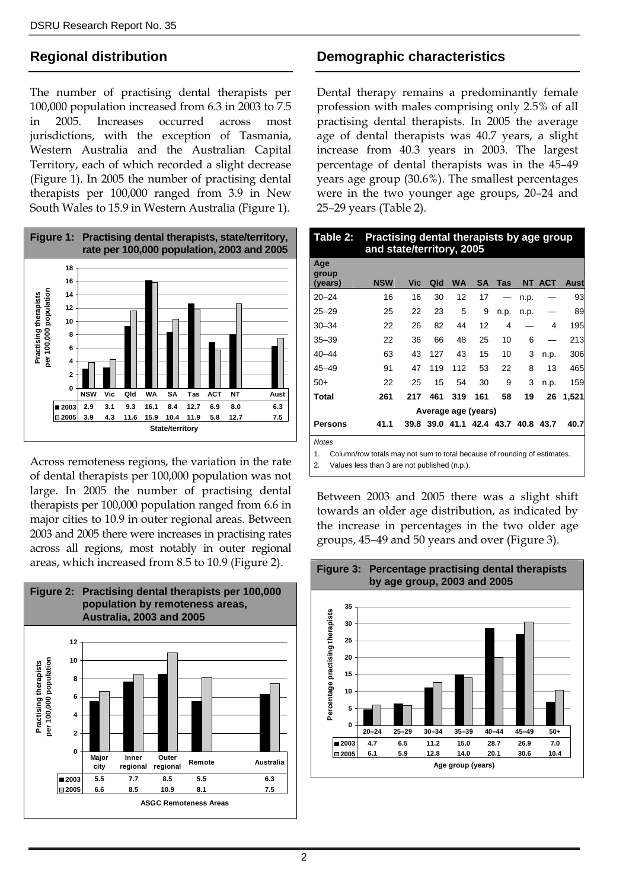## **Regional distribution**

The number of practising dental therapists per 100,000 population increased from 6.3 in 2003 to 7.5 in 2005. Increases occurred across most jurisdictions, with the exception of Tasmania, Western Australia and the Australian Capital Territory, each of which recorded a slight decrease (Figure 1). In 2005 the number of practising dental therapists per 100,000 ranged from 3.9 in New South Wales to 15.9 in Western Australia (Figure 1).



Across remoteness regions, the variation in the rate of dental therapists per 100,000 population was not large. In 2005 the number of practising dental therapists per 100,000 population ranged from 6.6 in major cities to 10.9 in outer regional areas. Between 2003 and 2005 there were increases in practising rates across all regions, most notably in outer regional areas, which increased from 8.5 to 10.9 (Figure 2).



## **Demographic characteristics**

Dental therapy remains a predominantly female profession with males comprising only 2.5% of all practising dental therapists. In 2005 the average age of dental therapists was 40.7 years, a slight increase from 40.3 years in 2003. The largest percentage of dental therapists was in the 45–49 years age group (30.6%). The smallest percentages were in the two younger age groups, 20–24 and 25–29 years (Table 2).

| Practising dental therapists by age group<br>Table 2:<br>and state/territory, 2005                                                                   |            |     |     |           |                                    |      |      |            |             |  |
|------------------------------------------------------------------------------------------------------------------------------------------------------|------------|-----|-----|-----------|------------------------------------|------|------|------------|-------------|--|
| Age<br>group<br>(years)                                                                                                                              | <b>NSW</b> | Vic | Qld | <b>WA</b> | <b>SA</b>                          | Tas  | NT   | <b>ACT</b> | <b>Aust</b> |  |
| $20 - 24$                                                                                                                                            | 16         | 16  | 30  | 12        | 17                                 |      | n.p. |            | 93          |  |
| $25 - 29$                                                                                                                                            | 25         | 22  | 23  | 5         | 9                                  | n.p. | n.p. |            | 89          |  |
| $30 - 34$                                                                                                                                            | 22         | 26  | 82  | 44        | 12                                 | 4    |      | 4          | 195         |  |
| $35 - 39$                                                                                                                                            | 22         | 36  | 66  | 48        | 25                                 | 10   | 6    |            | 213         |  |
| $40 - 44$                                                                                                                                            | 63         | 43  | 127 | 43        | 15                                 | 10   | 3    | n.p.       | 306         |  |
| $45 - 49$                                                                                                                                            | 91         | 47  | 119 | 112       | 53                                 | 22   | 8    | 13         | 465         |  |
| $50+$                                                                                                                                                | 22         | 25  | 15  | 54        | 30                                 | 9    | 3    | n.p.       | 159         |  |
| Total                                                                                                                                                | 261        | 217 | 461 | 319       | 161                                | 58   | 19   | 26         | 1,521       |  |
|                                                                                                                                                      |            |     |     |           | Average age (years)                |      |      |            |             |  |
| <b>Persons</b>                                                                                                                                       | 41.1       |     |     |           | 39.8 39.0 41.1 42.4 43.7 40.8 43.7 |      |      |            | 40.7        |  |
| <b>Notes</b><br>1.<br>Column/row totals may not sum to total because of rounding of estimates.<br>2.<br>Values less than 3 are not published (n.p.). |            |     |     |           |                                    |      |      |            |             |  |

Between 2003 and 2005 there was a slight shift towards an older age distribution, as indicated by the increase in percentages in the two older age groups, 45–49 and 50 years and over (Figure 3).

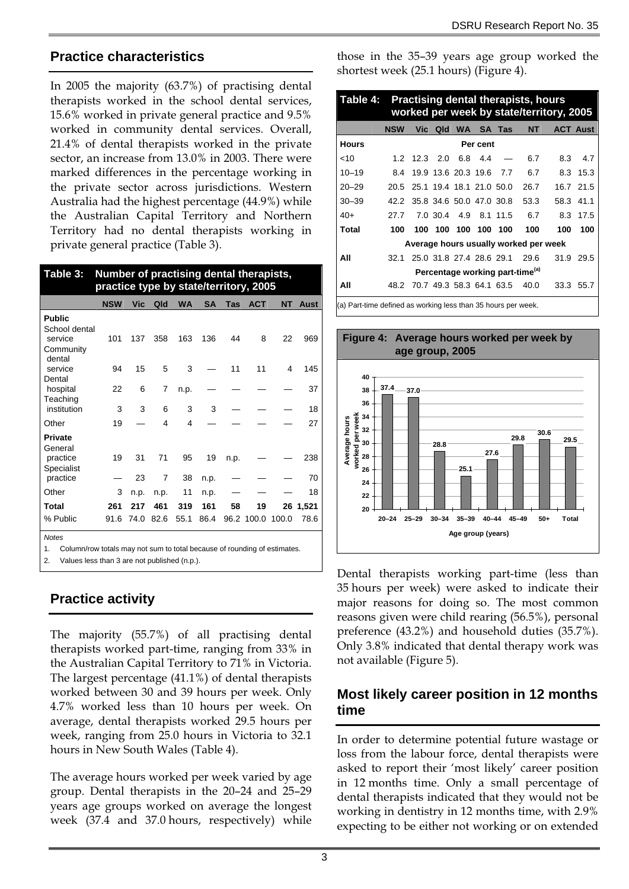## **Practice characteristics**

In 2005 the majority (63.7%) of practising dental therapists worked in the school dental services, 15.6% worked in private general practice and 9.5% worked in community dental services. Overall, 21.4% of dental therapists worked in the private sector, an increase from 13.0% in 2003. There were marked differences in the percentage working in the private sector across jurisdictions. Western Australia had the highest percentage (44.9%) while the Australian Capital Territory and Northern Territory had no dental therapists working in private general practice (Table 3).

| Table 3:<br>Number of practising dental therapists,<br>practice type by state/territory, 2005  |             |                     |                     |             |                     |            |             |             |               |  |
|------------------------------------------------------------------------------------------------|-------------|---------------------|---------------------|-------------|---------------------|------------|-------------|-------------|---------------|--|
|                                                                                                | <b>NSW</b>  | Vic                 | Qld                 | <b>WA</b>   | <b>SA</b>           | Tas        | <b>ACT</b>  | <b>NT</b>   | Aust          |  |
| <b>Public</b><br>School dental<br>service<br>Community<br>dental                               | 101         | 137                 | 358                 | 163         | 136                 | 44         | 8           | 22          | 969           |  |
| service                                                                                        | 94          | 15                  | 5                   | 3           |                     | 11         | 11          | 4           | 145           |  |
| Dental<br>hospital<br>Teaching                                                                 | 22          | 6                   | 7                   | n.p.        |                     |            |             |             | 37            |  |
| institution                                                                                    | 3           | 3                   | 6                   | 3           | 3                   |            |             |             | 18            |  |
| Other                                                                                          | 19          |                     | 4                   | 4           |                     |            |             |             | 27            |  |
| <b>Private</b><br>General<br>practice<br>Specialist<br>practice                                | 19          | 31<br>23            | 71<br>7             | 95<br>38    | 19<br>n.p.          | n.p.       |             |             | 238<br>70     |  |
| Other                                                                                          | 3           |                     |                     | 11          |                     |            |             |             | 18            |  |
| Total<br>% Public                                                                              | 261<br>91.6 | n.p.<br>217<br>74.0 | n.p.<br>461<br>82.6 | 319<br>55.1 | n.p.<br>161<br>86.4 | 58<br>96.2 | 19<br>100.0 | 26<br>100.0 | 1,521<br>78.6 |  |
| <b>Notes</b><br>Column/row totals may not sum to total because of rounding of estimates.<br>1. |             |                     |                     |             |                     |            |             |             |               |  |

2. Values less than 3 are not published (n.p.).

## **Practice activity**

The majority (55.7%) of all practising dental therapists worked part-time, ranging from 33% in the Australian Capital Territory to 71% in Victoria. The largest percentage (41.1%) of dental therapists worked between 30 and 39 hours per week. Only 4.7% worked less than 10 hours per week. On average, dental therapists worked 29.5 hours per week, ranging from 25.0 hours in Victoria to 32.1 hours in New South Wales (Table 4).

The average hours worked per week varied by age group. Dental therapists in the 20–24 and 25–29 years age groups worked on average the longest week (37.4 and 37.0 hours, respectively) while

those in the 35–39 years age group worked the shortest week (25.1 hours) (Figure 4).

| Table 4:  | <b>Practising dental therapists, hours</b><br>worked per week by state/territory, 2005 |                               |     |           |                          |        |                                             |     |                 |  |  |
|-----------|----------------------------------------------------------------------------------------|-------------------------------|-----|-----------|--------------------------|--------|---------------------------------------------|-----|-----------------|--|--|
|           | <b>NSW</b>                                                                             | <b>Vic</b>                    | Qld | <b>WA</b> |                          | SA Tas | <b>NT</b>                                   |     | <b>ACT Aust</b> |  |  |
| Hours     | Per cent                                                                               |                               |     |           |                          |        |                                             |     |                 |  |  |
| ~10       |                                                                                        | $1.2$ 12.3 2.0                |     |           | 6.8 4.4                  |        | 6.7                                         | 8.3 | 4.7             |  |  |
| $10 - 19$ | 8.4                                                                                    |                               |     |           | 19.9 13.6 20.3 19.6      | 7.7    | 6.7                                         |     | 8.3 15.3        |  |  |
| $20 - 29$ |                                                                                        | 20.5 25.1 19.4 18.1 21.0 50.0 |     |           |                          |        | 26.7                                        |     | 16.7 21.5       |  |  |
| $30 - 39$ |                                                                                        | 42.2 35.8 34.6 50.0 47.0 30.8 |     |           |                          |        | 53.3                                        |     | 58.3 41.1       |  |  |
| $40+$     | 27 7                                                                                   |                               |     |           | 7.0 30.4 4.9 8.1 11.5    |        | 6.7                                         |     | 8.3 17.5        |  |  |
| Total     | 100                                                                                    |                               |     |           | 100 100 100 100 100      |        | 100                                         | 100 | 100             |  |  |
|           |                                                                                        |                               |     |           |                          |        | Average hours usually worked per week       |     |                 |  |  |
| All       | 32.1                                                                                   |                               |     |           | 25.0 31.8 27.4 28.6 29.1 |        | 29.6                                        |     | 31.9 29.5       |  |  |
|           |                                                                                        |                               |     |           |                          |        | Percentage working part-time <sup>(a)</sup> |     |                 |  |  |
| All       | 48.2                                                                                   |                               |     |           | 70.7 49.3 58.3 64.1 63.5 |        | 40.0                                        |     | 33.3 55.7       |  |  |

(a) Part-time defined as working less than 35 hours per week.



Dental therapists working part-time (less than 35 hours per week) were asked to indicate their major reasons for doing so. The most common reasons given were child rearing (56.5%), personal preference (43.2%) and household duties (35.7%). Only 3.8% indicated that dental therapy work was not available (Figure 5).

## **Most likely career position in 12 months time**

In order to determine potential future wastage or loss from the labour force, dental therapists were asked to report their 'most likely' career position in 12 months time. Only a small percentage of dental therapists indicated that they would not be working in dentistry in 12 months time, with 2.9% expecting to be either not working or on extended